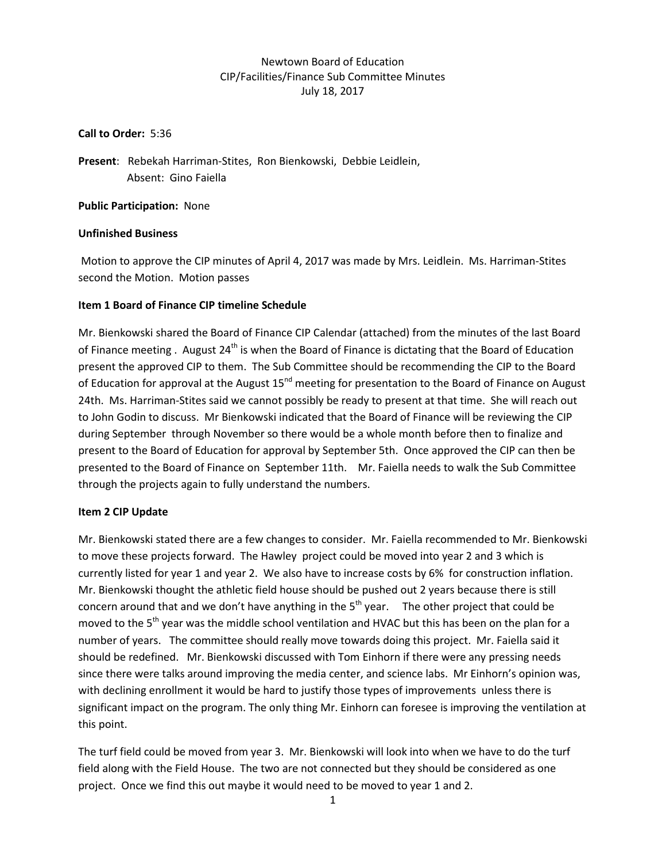# Newtown Board of Education CIP/Facilities/Finance Sub Committee Minutes July 18, 2017

#### **Call to Order:** 5:36

**Present**: Rebekah Harriman-Stites, Ron Bienkowski, Debbie Leidlein, Absent: Gino Faiella

**Public Participation:** None

### **Unfinished Business**

Motion to approve the CIP minutes of April 4, 2017 was made by Mrs. Leidlein. Ms. Harriman-Stites second the Motion. Motion passes

### **Item 1 Board of Finance CIP timeline Schedule**

Mr. Bienkowski shared the Board of Finance CIP Calendar (attached) from the minutes of the last Board of Finance meeting . August  $24^{th}$  is when the Board of Finance is dictating that the Board of Education present the approved CIP to them. The Sub Committee should be recommending the CIP to the Board of Education for approval at the August 15<sup>nd</sup> meeting for presentation to the Board of Finance on August 24th. Ms. Harriman-Stites said we cannot possibly be ready to present at that time. She will reach out to John Godin to discuss. Mr Bienkowski indicated that the Board of Finance will be reviewing the CIP during September through November so there would be a whole month before then to finalize and present to the Board of Education for approval by September 5th. Once approved the CIP can then be presented to the Board of Finance on September 11th. Mr. Faiella needs to walk the Sub Committee through the projects again to fully understand the numbers.

### **Item 2 CIP Update**

Mr. Bienkowski stated there are a few changes to consider. Mr. Faiella recommended to Mr. Bienkowski to move these projects forward. The Hawley project could be moved into year 2 and 3 which is currently listed for year 1 and year 2. We also have to increase costs by 6% for construction inflation. Mr. Bienkowski thought the athletic field house should be pushed out 2 years because there is still concern around that and we don't have anything in the  $5<sup>th</sup>$  year. The other project that could be moved to the 5<sup>th</sup> year was the middle school ventilation and HVAC but this has been on the plan for a number of years. The committee should really move towards doing this project. Mr. Faiella said it should be redefined. Mr. Bienkowski discussed with Tom Einhorn if there were any pressing needs since there were talks around improving the media center, and science labs. Mr Einhorn's opinion was, with declining enrollment it would be hard to justify those types of improvements unless there is significant impact on the program. The only thing Mr. Einhorn can foresee is improving the ventilation at this point.

The turf field could be moved from year 3. Mr. Bienkowski will look into when we have to do the turf field along with the Field House. The two are not connected but they should be considered as one project. Once we find this out maybe it would need to be moved to year 1 and 2.